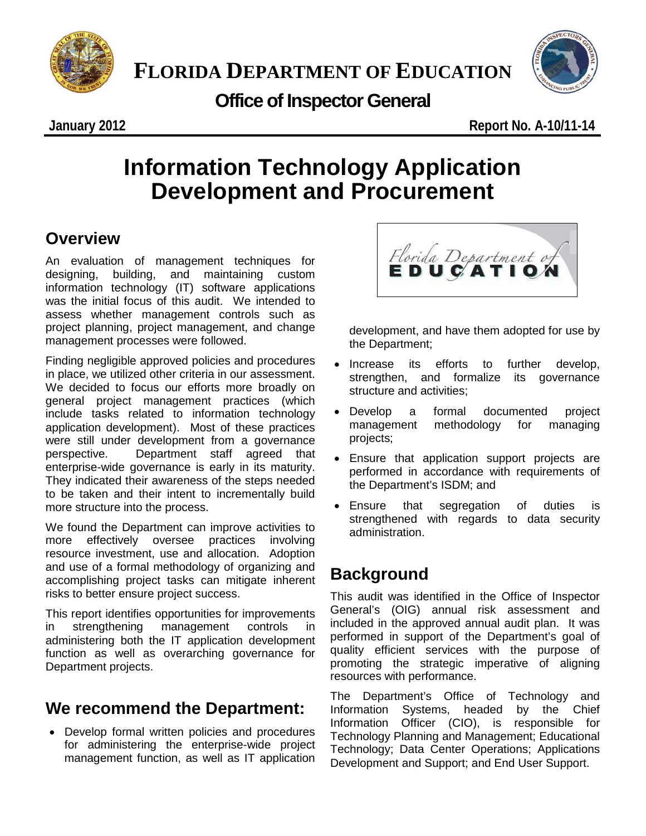



**Office of Inspector General**

# **Information Technology Application Development and Procurement**

### **Overview**

An evaluation of management techniques for designing, building, and maintaining custom information technology (IT) software applications was the initial focus of this audit. We intended to assess whether management controls such as project planning, project management, and change management processes were followed.

Finding negligible approved policies and procedures in place, we utilized other criteria in our assessment. We decided to focus our efforts more broadly on general project management practices (which include tasks related to information technology application development). Most of these practices were still under development from a governance perspective. Department staff agreed that enterprise-wide governance is early in its maturity. They indicated their awareness of the steps needed to be taken and their intent to incrementally build more structure into the process.

We found the Department can improve activities to more effectively oversee practices involving resource investment, use and allocation. Adoption and use of a formal methodology of organizing and accomplishing project tasks can mitigate inherent risks to better ensure project success.

This report identifies opportunities for improvements in strengthening management controls in administering both the IT application development function as well as overarching governance for Department projects.

### **We recommend the Department:**

• Develop formal written policies and procedures for administering the enterprise-wide project management function, as well as IT application

Florida Department of EDUCATION

development, and have them adopted for use by the Department;

- Increase its efforts to further develop, strengthen, and formalize its governance structure and activities;
- Develop a formal documented project management methodology for managing projects;
- Ensure that application support projects are performed in accordance with requirements of the Department's ISDM; and
- Ensure that segregation of duties is strengthened with regards to data security administration.

### **Background**

This audit was identified in the Office of Inspector General's (OIG) annual risk assessment and included in the approved annual audit plan. It was performed in support of the Department's goal of quality efficient services with the purpose of promoting the strategic imperative of aligning resources with performance.

The Department's Office of Technology and<br>Information Systems, headed by the Chief Systems, headed Information Officer (CIO), is responsible for Technology Planning and Management; Educational Technology; Data Center Operations; Applications Development and Support; and End User Support.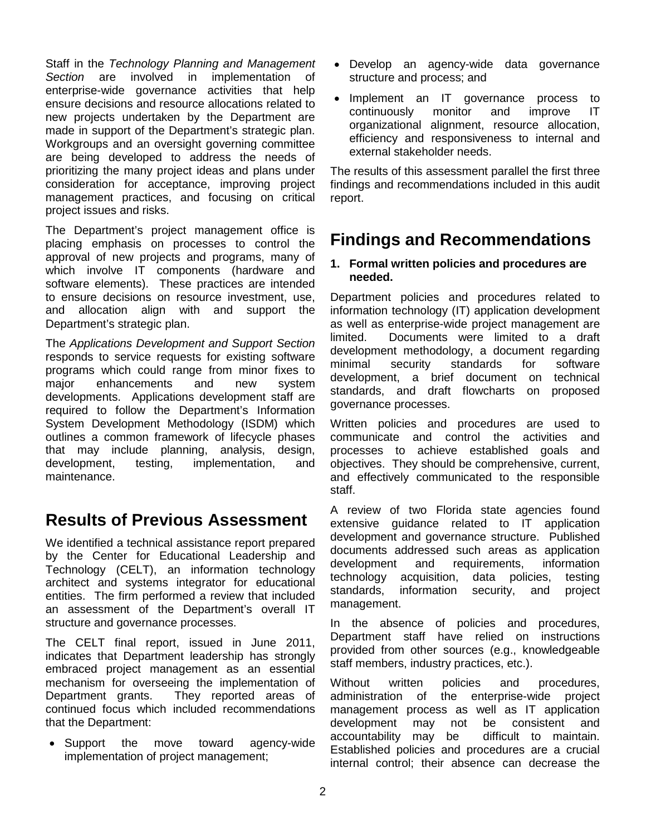Staff in the *Technology Planning and Management Section* are involved in implementation of enterprise-wide governance activities that help ensure decisions and resource allocations related to new projects undertaken by the Department are made in support of the Department's strategic plan. Workgroups and an oversight governing committee are being developed to address the needs of prioritizing the many project ideas and plans under consideration for acceptance, improving project management practices, and focusing on critical project issues and risks.

The Department's project management office is placing emphasis on processes to control the approval of new projects and programs, many of which involve IT components (hardware and software elements). These practices are intended to ensure decisions on resource investment, use, and allocation align with and support the Department's strategic plan.

The *Applications Development and Support Section* responds to service requests for existing software programs which could range from minor fixes to<br>maior enhancements and new system major enhancements and new system developments. Applications development staff are required to follow the Department's Information System Development Methodology (ISDM) which outlines a common framework of lifecycle phases that may include planning, analysis, design, development, testing, implementation, and maintenance.

### **Results of Previous Assessment**

We identified a technical assistance report prepared by the Center for Educational Leadership and Technology (CELT), an information technology architect and systems integrator for educational entities. The firm performed a review that included an assessment of the Department's overall IT structure and governance processes.

The CELT final report, issued in June 2011, indicates that Department leadership has strongly embraced project management as an essential mechanism for overseeing the implementation of Department grants. They reported areas of continued focus which included recommendations that the Department:

• Support the move toward agency-wide implementation of project management;

- Develop an agency-wide data governance structure and process; and
- Implement an IT governance process to continuously monitor and improve IT organizational alignment, resource allocation, efficiency and responsiveness to internal and external stakeholder needs.

The results of this assessment parallel the first three findings and recommendations included in this audit report.

### **Findings and Recommendations**

#### **1. Formal written policies and procedures are needed.**

Department policies and procedures related to information technology (IT) application development as well as enterprise-wide project management are limited. Documents were limited to a draft development methodology, a document regarding minimal security standards for software development, a brief document on technical standards, and draft flowcharts on proposed governance processes.

Written policies and procedures are used to communicate and control the activities and processes to achieve established goals and objectives. They should be comprehensive, current, and effectively communicated to the responsible staff.

A review of two Florida state agencies found extensive guidance related to IT application development and governance structure. Published documents addressed such areas as application development and requirements, information technology acquisition, data policies, testing standards, information security, and project management.

In the absence of policies and procedures, Department staff have relied on instructions provided from other sources (e.g., knowledgeable staff members, industry practices, etc.).

Without written policies and procedures, administration of the enterprise-wide project management process as well as IT application development may not be consistent and accountability may be difficult to maintain. Established policies and procedures are a crucial internal control; their absence can decrease the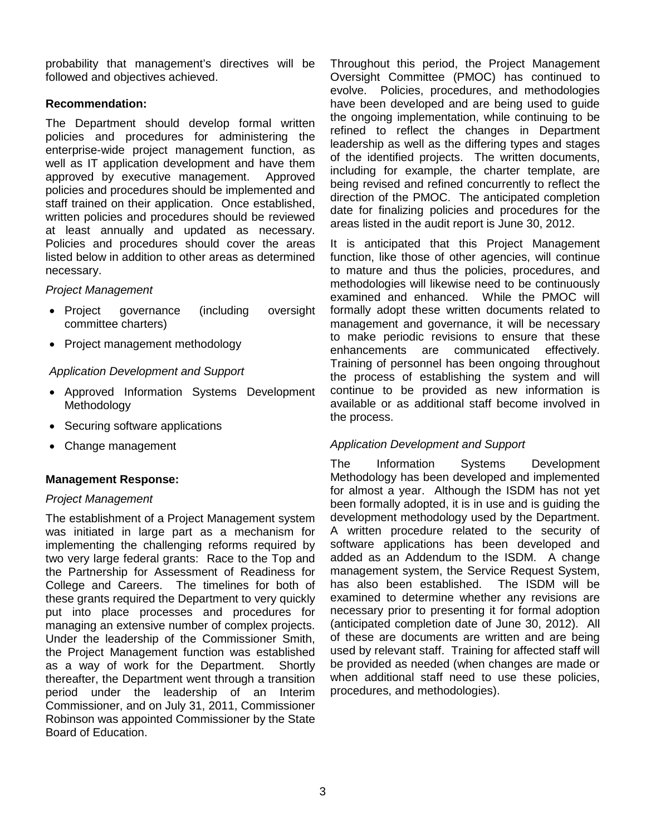probability that management's directives will be followed and objectives achieved.

#### **Recommendation:**

The Department should develop formal written policies and procedures for administering the enterprise-wide project management function, as well as IT application development and have them approved by executive management. Approved policies and procedures should be implemented and staff trained on their application. Once established, written policies and procedures should be reviewed at least annually and updated as necessary. Policies and procedures should cover the areas listed below in addition to other areas as determined necessary.

#### *Project Management*

- Project governance (including oversight committee charters)
- Project management methodology

#### *Application Development and Support*

- Approved Information Systems Development Methodology
- Securing software applications
- Change management

#### **Management Response:**

#### *Project Management*

The establishment of a Project Management system was initiated in large part as a mechanism for implementing the challenging reforms required by two very large federal grants: Race to the Top and the Partnership for Assessment of Readiness for College and Careers. The timelines for both of these grants required the Department to very quickly put into place processes and procedures for managing an extensive number of complex projects. Under the leadership of the Commissioner Smith, the Project Management function was established as a way of work for the Department. Shortly thereafter, the Department went through a transition period under the leadership of an Interim Commissioner, and on July 31, 2011, Commissioner Robinson was appointed Commissioner by the State Board of Education.

Throughout this period, the Project Management Oversight Committee (PMOC) has continued to evolve. Policies, procedures, and methodologies have been developed and are being used to guide the ongoing implementation, while continuing to be refined to reflect the changes in Department leadership as well as the differing types and stages of the identified projects. The written documents, including for example, the charter template, are being revised and refined concurrently to reflect the direction of the PMOC. The anticipated completion date for finalizing policies and procedures for the areas listed in the audit report is June 30, 2012.

It is anticipated that this Project Management function, like those of other agencies, will continue to mature and thus the policies, procedures, and methodologies will likewise need to be continuously examined and enhanced. While the PMOC will formally adopt these written documents related to management and governance, it will be necessary to make periodic revisions to ensure that these enhancements are communicated effectively. Training of personnel has been ongoing throughout the process of establishing the system and will continue to be provided as new information is available or as additional staff become involved in the process.

#### *Application Development and Support*

The Information Systems Development Methodology has been developed and implemented for almost a year. Although the ISDM has not yet been formally adopted, it is in use and is guiding the development methodology used by the Department. A written procedure related to the security of software applications has been developed and added as an Addendum to the ISDM. A change management system, the Service Request System, has also been established. The ISDM will be examined to determine whether any revisions are necessary prior to presenting it for formal adoption (anticipated completion date of June 30, 2012). All of these are documents are written and are being used by relevant staff. Training for affected staff will be provided as needed (when changes are made or when additional staff need to use these policies, procedures, and methodologies).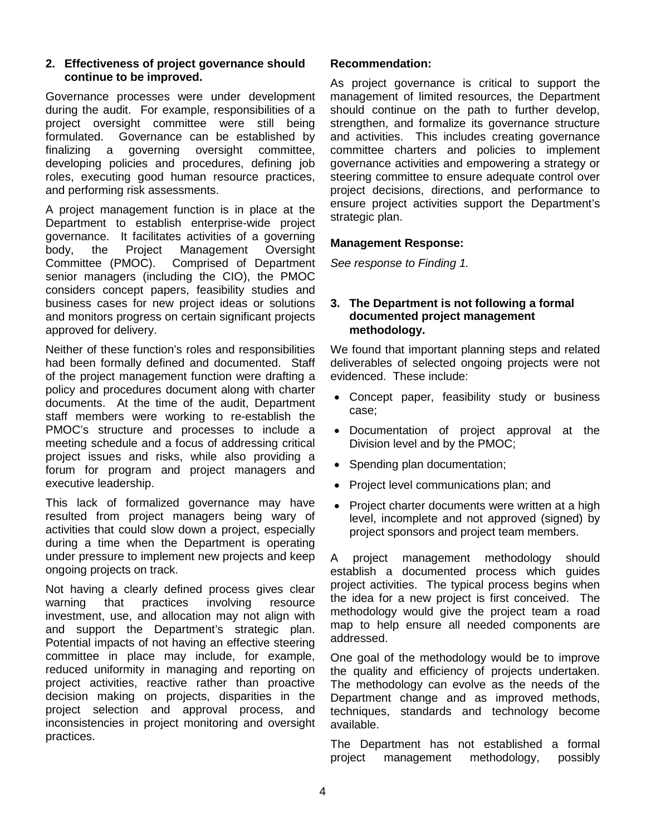#### **2. Effectiveness of project governance should continue to be improved.**

Governance processes were under development during the audit. For example, responsibilities of a project oversight committee were still being formulated. Governance can be established by finalizing a governing oversight committee, developing policies and procedures, defining job roles, executing good human resource practices, and performing risk assessments.

A project management function is in place at the Department to establish enterprise-wide project governance. It facilitates activities of a governing body, the Project Management Oversight Committee (PMOC). Comprised of Department senior managers (including the CIO), the PMOC considers concept papers, feasibility studies and business cases for new project ideas or solutions and monitors progress on certain significant projects approved for delivery.

Neither of these function's roles and responsibilities had been formally defined and documented. Staff of the project management function were drafting a policy and procedures document along with charter documents. At the time of the audit, Department staff members were working to re-establish the PMOC's structure and processes to include a meeting schedule and a focus of addressing critical project issues and risks, while also providing a forum for program and project managers and executive leadership.

This lack of formalized governance may have resulted from project managers being wary of activities that could slow down a project, especially during a time when the Department is operating under pressure to implement new projects and keep ongoing projects on track.

Not having a clearly defined process gives clear warning that practices involving resource investment, use, and allocation may not align with and support the Department's strategic plan. Potential impacts of not having an effective steering committee in place may include, for example, reduced uniformity in managing and reporting on project activities, reactive rather than proactive decision making on projects, disparities in the project selection and approval process, and inconsistencies in project monitoring and oversight practices.

#### **Recommendation:**

As project governance is critical to support the management of limited resources, the Department should continue on the path to further develop, strengthen, and formalize its governance structure and activities. This includes creating governance committee charters and policies to implement governance activities and empowering a strategy or steering committee to ensure adequate control over project decisions, directions, and performance to ensure project activities support the Department's strategic plan.

#### **Management Response:**

*See response to Finding 1.*

#### **3. The Department is not following a formal documented project management methodology.**

We found that important planning steps and related deliverables of selected ongoing projects were not evidenced. These include:

- Concept paper, feasibility study or business case;
- Documentation of project approval at the Division level and by the PMOC;
- Spending plan documentation;
- Project level communications plan; and
- Project charter documents were written at a high level, incomplete and not approved (signed) by project sponsors and project team members.

A project management methodology should establish a documented process which guides project activities. The typical process begins when the idea for a new project is first conceived. The methodology would give the project team a road map to help ensure all needed components are addressed.

One goal of the methodology would be to improve the quality and efficiency of projects undertaken. The methodology can evolve as the needs of the Department change and as improved methods, techniques, standards and technology become available.

The Department has not established a formal project management methodology, possibly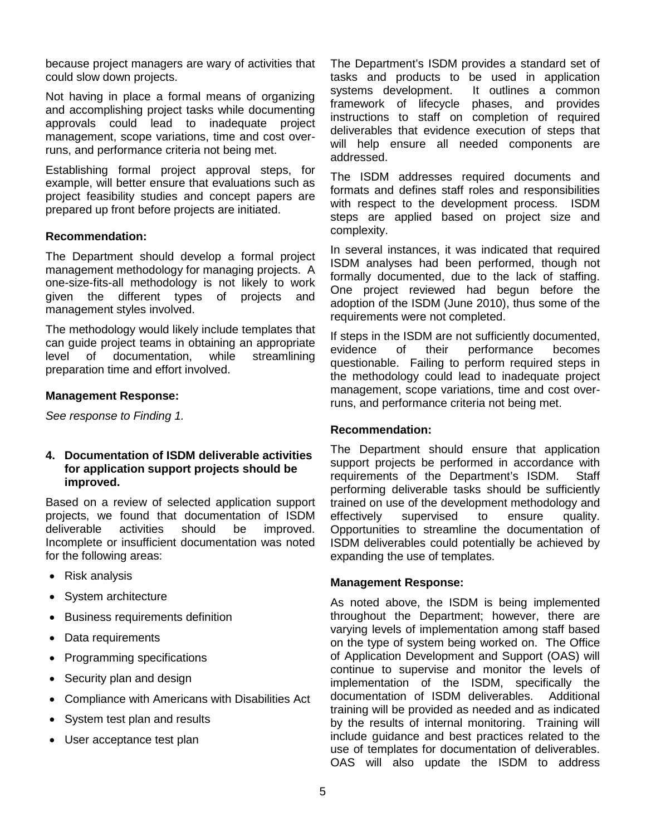because project managers are wary of activities that could slow down projects.

Not having in place a formal means of organizing and accomplishing project tasks while documenting approvals could lead to inadequate project management, scope variations, time and cost overruns, and performance criteria not being met.

Establishing formal project approval steps, for example, will better ensure that evaluations such as project feasibility studies and concept papers are prepared up front before projects are initiated.

#### **Recommendation:**

The Department should develop a formal project management methodology for managing projects. A one-size-fits-all methodology is not likely to work given the different types of projects and management styles involved.

The methodology would likely include templates that can guide project teams in obtaining an appropriate level of documentation, while streamlining preparation time and effort involved.

#### **Management Response:**

*See response to Finding 1.*

#### **4. Documentation of ISDM deliverable activities for application support projects should be improved.**

Based on a review of selected application support projects, we found that documentation of ISDM<br>deliverable activities should be improved. deliverable activities should be improved. Incomplete or insufficient documentation was noted for the following areas:

- Risk analysis
- System architecture
- Business requirements definition
- Data requirements
- Programming specifications
- Security plan and design
- Compliance with Americans with Disabilities Act
- System test plan and results
- User acceptance test plan

The Department's ISDM provides a standard set of tasks and products to be used in application systems development. It outlines a common framework of lifecycle phases, and provides instructions to staff on completion of required deliverables that evidence execution of steps that will help ensure all needed components are addressed.

The ISDM addresses required documents and formats and defines staff roles and responsibilities with respect to the development process. ISDM steps are applied based on project size and complexity.

In several instances, it was indicated that required ISDM analyses had been performed, though not formally documented, due to the lack of staffing. One project reviewed had begun before the adoption of the ISDM (June 2010), thus some of the requirements were not completed.

If steps in the ISDM are not sufficiently documented, evidence of their performance becomes questionable. Failing to perform required steps in the methodology could lead to inadequate project management, scope variations, time and cost overruns, and performance criteria not being met.

#### **Recommendation:**

The Department should ensure that application support projects be performed in accordance with requirements of the Department's ISDM. Staff performing deliverable tasks should be sufficiently trained on use of the development methodology and effectively supervised to ensure quality. Opportunities to streamline the documentation of ISDM deliverables could potentially be achieved by expanding the use of templates.

#### **Management Response:**

As noted above, the ISDM is being implemented throughout the Department; however, there are varying levels of implementation among staff based on the type of system being worked on. The Office of Application Development and Support (OAS) will continue to supervise and monitor the levels of implementation of the ISDM, specifically the documentation of ISDM deliverables. Additional documentation of ISDM deliverables. training will be provided as needed and as indicated by the results of internal monitoring. Training will include guidance and best practices related to the use of templates for documentation of deliverables. OAS will also update the ISDM to address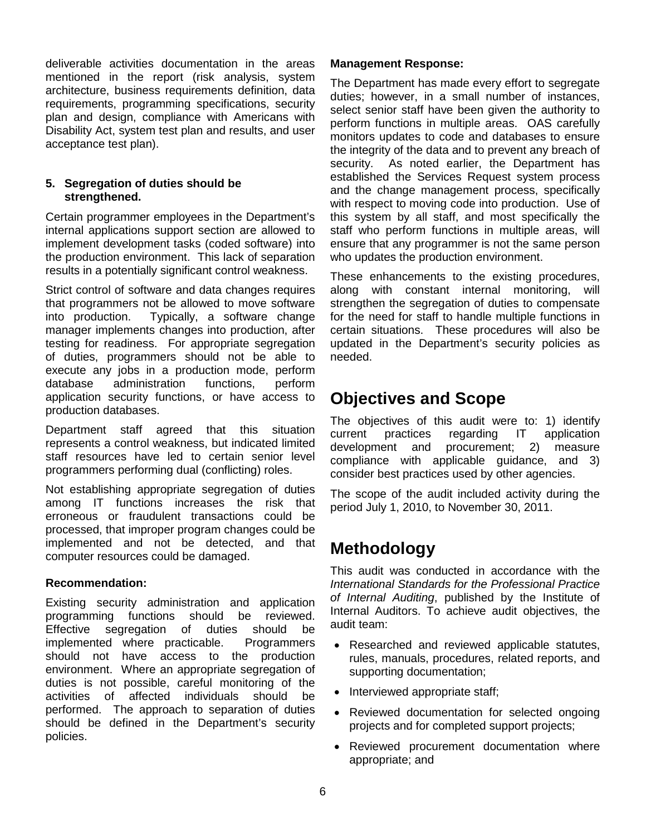deliverable activities documentation in the areas mentioned in the report (risk analysis, system architecture, business requirements definition, data requirements, programming specifications, security plan and design, compliance with Americans with Disability Act, system test plan and results, and user acceptance test plan).

#### **5. Segregation of duties should be strengthened.**

Certain programmer employees in the Department's internal applications support section are allowed to implement development tasks (coded software) into the production environment. This lack of separation results in a potentially significant control weakness.

Strict control of software and data changes requires that programmers not be allowed to move software into production. Typically, a software change manager implements changes into production, after testing for readiness. For appropriate segregation of duties, programmers should not be able to execute any jobs in a production mode, perform<br>database administration functions, perform database administration functions, perform application security functions, or have access to production databases.

Department staff agreed that this situation represents a control weakness, but indicated limited staff resources have led to certain senior level programmers performing dual (conflicting) roles.

Not establishing appropriate segregation of duties among IT functions increases the risk that erroneous or fraudulent transactions could be processed, that improper program changes could be implemented and not be detected, and that computer resources could be damaged.

#### **Recommendation:**

Existing security administration and application programming functions should be reviewed. Effective segregation of duties should be implemented where practicable. Programmers should not have access to the production environment. Where an appropriate segregation of duties is not possible, careful monitoring of the activities of affected individuals performed. The approach to separation of duties should be defined in the Department's security policies.

#### **Management Response:**

The Department has made every effort to segregate duties; however, in a small number of instances, select senior staff have been given the authority to perform functions in multiple areas. OAS carefully monitors updates to code and databases to ensure the integrity of the data and to prevent any breach of security. As noted earlier, the Department has established the Services Request system process and the change management process, specifically with respect to moving code into production. Use of this system by all staff, and most specifically the staff who perform functions in multiple areas, will ensure that any programmer is not the same person who updates the production environment.

These enhancements to the existing procedures, along with constant internal monitoring, will strengthen the segregation of duties to compensate for the need for staff to handle multiple functions in certain situations. These procedures will also be updated in the Department's security policies as needed.

### **Objectives and Scope**

The objectives of this audit were to: 1) identify current practices regarding IT application development and procurement; 2) measure compliance with applicable guidance, and 3) consider best practices used by other agencies.

The scope of the audit included activity during the period July 1, 2010, to November 30, 2011.

### **Methodology**

This audit was conducted in accordance with the *International Standards for the Professional Practice of Internal Auditing*, published by the Institute of Internal Auditors. To achieve audit objectives, the audit team:

- Researched and reviewed applicable statutes, rules, manuals, procedures, related reports, and supporting documentation;
- Interviewed appropriate staff;
- Reviewed documentation for selected ongoing projects and for completed support projects;
- Reviewed procurement documentation where appropriate; and